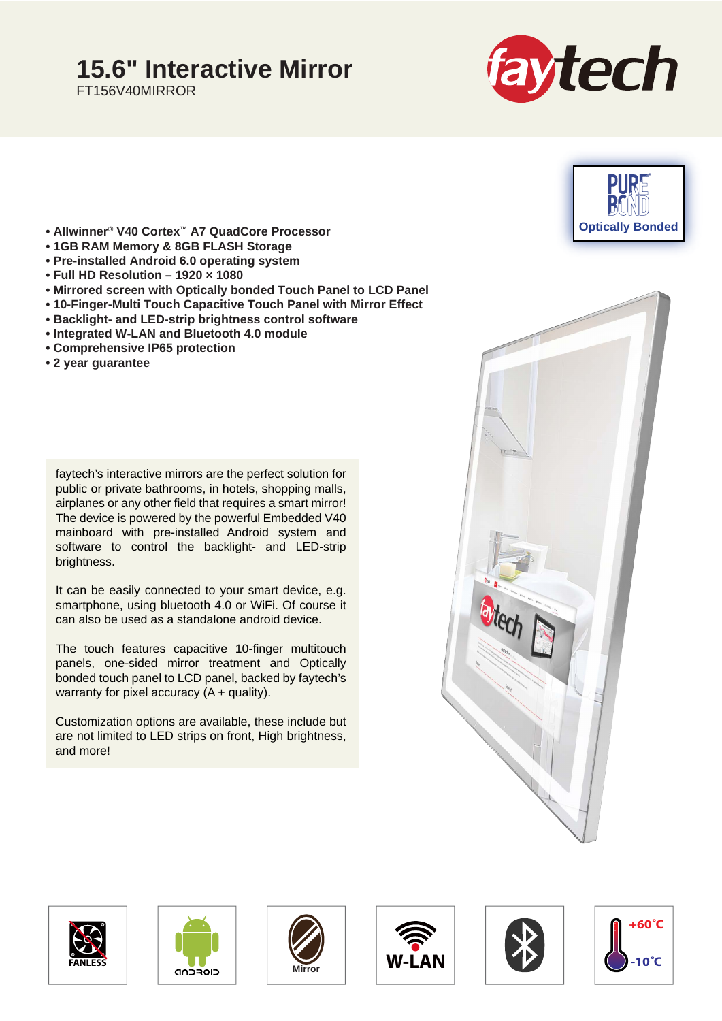## **15.6" Interactive Mirror**

FT156V40MIRROR





- **Allwinner® V40 Cortex™ A7 QuadCore Processor**
- **1GB RAM Memory & 8GB FLASH Storage**
- **Pre-installed Android 6.0 operating system**
- **Full HD Resolution 1920 × 1080**
- **Mirrored screen with Optically bonded Touch Panel to LCD Panel**
- **10-Finger-Multi Touch Capacitive Touch Panel with Mirror Effect**
- **Backlight- and LED-strip brightness control software**
- **Integrated W-LAN and Bluetooth 4.0 module**
- **Comprehensive IP65 protection**
- **2 year guarantee**

faytech's interactive mirrors are the perfect solution for public or private bathrooms, in hotels, shopping malls, airplanes or any other field that requires a smart mirror! The device is powered by the powerful Embedded V40 mainboard with pre-installed Android system and software to control the backlight- and LED-strip brightness.

It can be easily connected to your smart device, e.g. smartphone, using bluetooth 4.0 or WiFi. Of course it can also be used as a standalone android device.

The touch features capacitive 10-finger multitouch panels, one-sided mirror treatment and Optically bonded touch panel to LCD panel, backed by faytech's warranty for pixel accuracy  $(A + \text{quality})$ .

Customization options are available, these include but are not limited to LED strips on front, High brightness, and more!